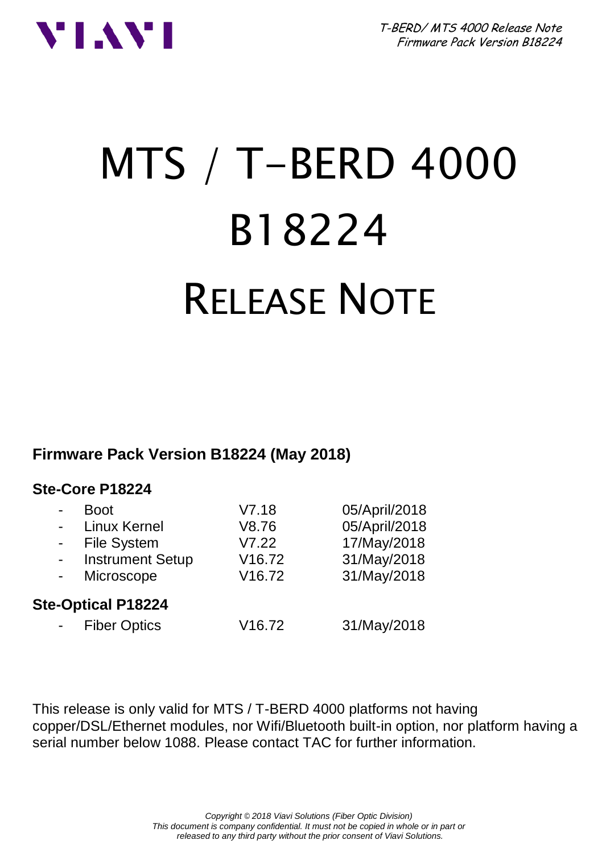



# MTS / T-BERD 4000 B18224 RELEASE NOTE

#### **Firmware Pack Version B18224 (May 2018)**

#### **Ste-Core P18224**

| <b>Boot</b>               | V7.18              | 05/April/2018 |
|---------------------------|--------------------|---------------|
| Linux Kernel              | V8.76              | 05/April/2018 |
| File System               | V7.22              | 17/May/2018   |
| <b>Instrument Setup</b>   | V <sub>16.72</sub> | 31/May/2018   |
| Microscope                | V <sub>16.72</sub> | 31/May/2018   |
| <b>Ste-Optical P18224</b> |                    |               |
| <b>Fiber Optics</b>       | V <sub>16.72</sub> | 31/May/2018   |
|                           |                    |               |

This release is only valid for MTS / T-BERD 4000 platforms not having copper/DSL/Ethernet modules, nor Wifi/Bluetooth built-in option, nor platform having a serial number below 1088. Please contact TAC for further information.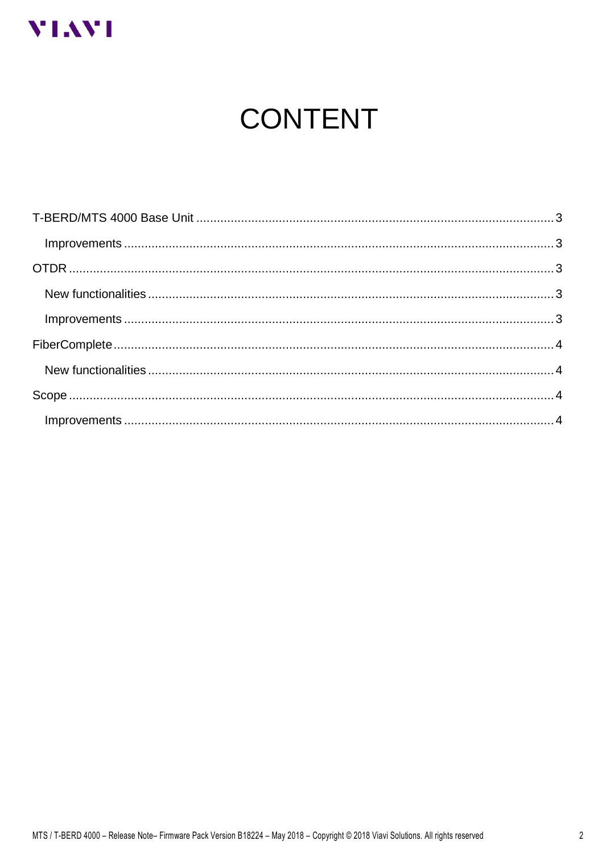

# **CONTENT**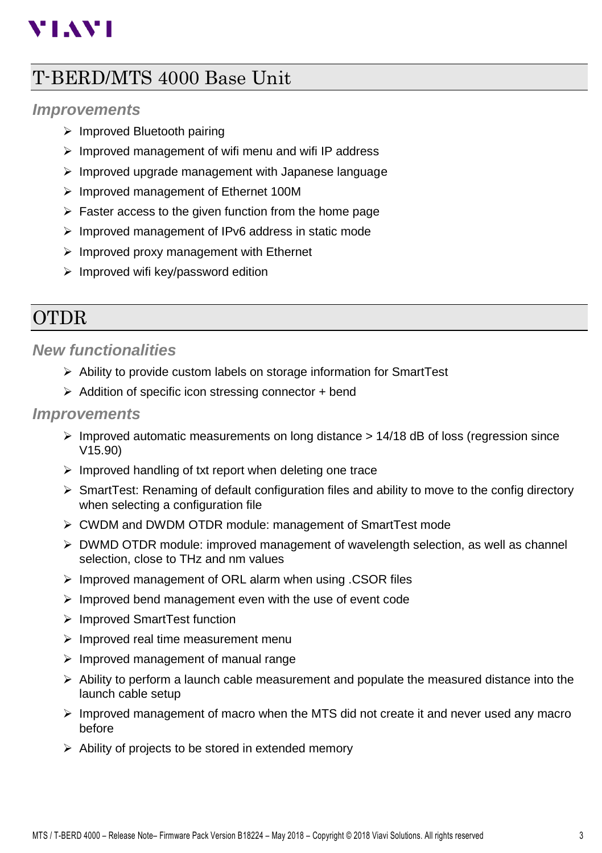# **VIAVI**

## <span id="page-2-0"></span>T-BERD/MTS 4000 Base Unit

#### <span id="page-2-1"></span>*Improvements*

- ➢ Improved Bluetooth pairing
- ➢ Improved management of wifi menu and wifi IP address
- ➢ Improved upgrade management with Japanese language
- ➢ Improved management of Ethernet 100M
- $\triangleright$  Faster access to the given function from the home page
- ➢ Improved management of IPv6 address in static mode
- ➢ Improved proxy management with Ethernet
- ➢ Improved wifi key/password edition

## <span id="page-2-2"></span>**OTDR**

#### <span id="page-2-3"></span>*New functionalities*

- ➢ Ability to provide custom labels on storage information for SmartTest
- ➢ Addition of specific icon stressing connector + bend

#### <span id="page-2-4"></span>*Improvements*

- $\triangleright$  Improved automatic measurements on long distance  $> 14/18$  dB of loss (regression since V15.90)
- ➢ Improved handling of txt report when deleting one trace
- $\triangleright$  SmartTest: Renaming of default configuration files and ability to move to the config directory when selecting a configuration file
- ➢ CWDM and DWDM OTDR module: management of SmartTest mode
- $\triangleright$  DWMD OTDR module: improved management of wavelength selection, as well as channel selection, close to THz and nm values
- ➢ Improved management of ORL alarm when using .CSOR files
- ➢ Improved bend management even with the use of event code
- ➢ Improved SmartTest function
- ➢ Improved real time measurement menu
- ➢ Improved management of manual range
- $\triangleright$  Ability to perform a launch cable measurement and populate the measured distance into the launch cable setup
- $\triangleright$  Improved management of macro when the MTS did not create it and never used any macro before
- ➢ Ability of projects to be stored in extended memory